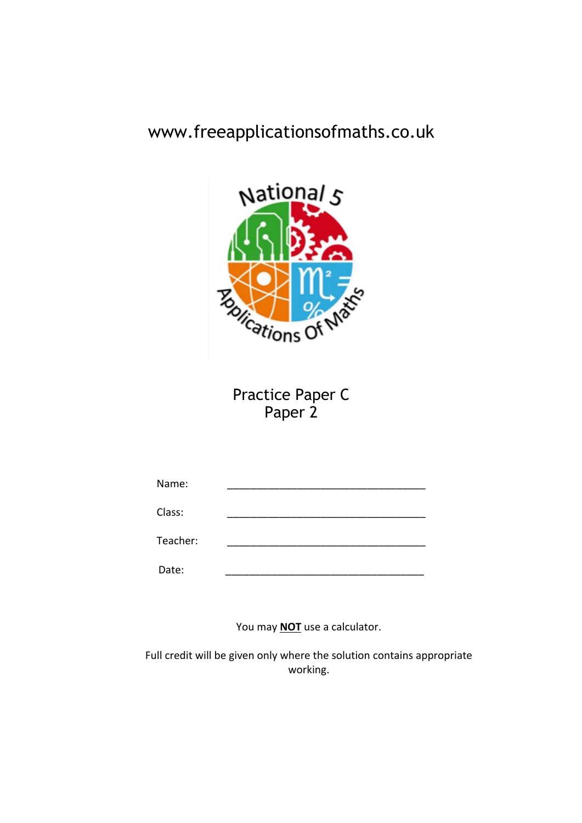# www.freeapplicationsofmaths.co.uk



Practice Paper C Paper 2

| Name:    |  |
|----------|--|
| Class:   |  |
| Teacher: |  |
| Date:    |  |

You may **NOT** use a calculator.

Full credit will be given only where the solution contains appropriate working.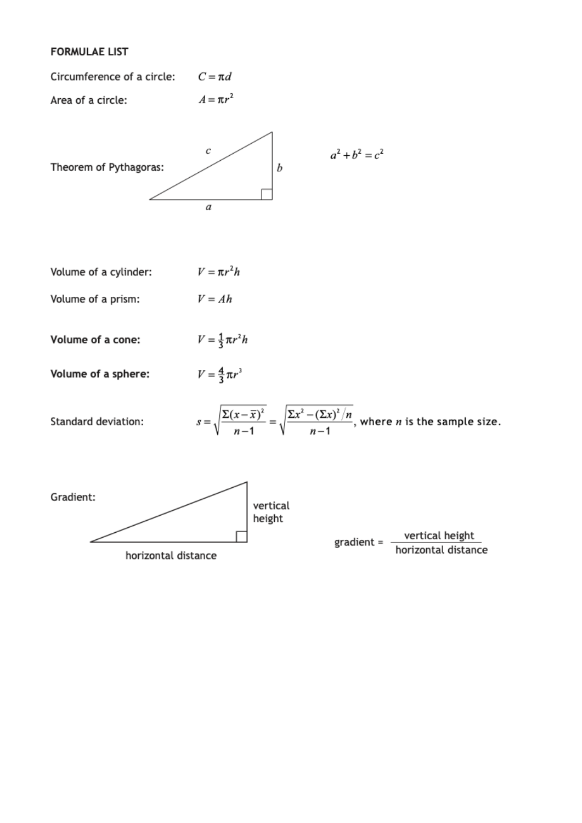## **FORMULAE LIST**

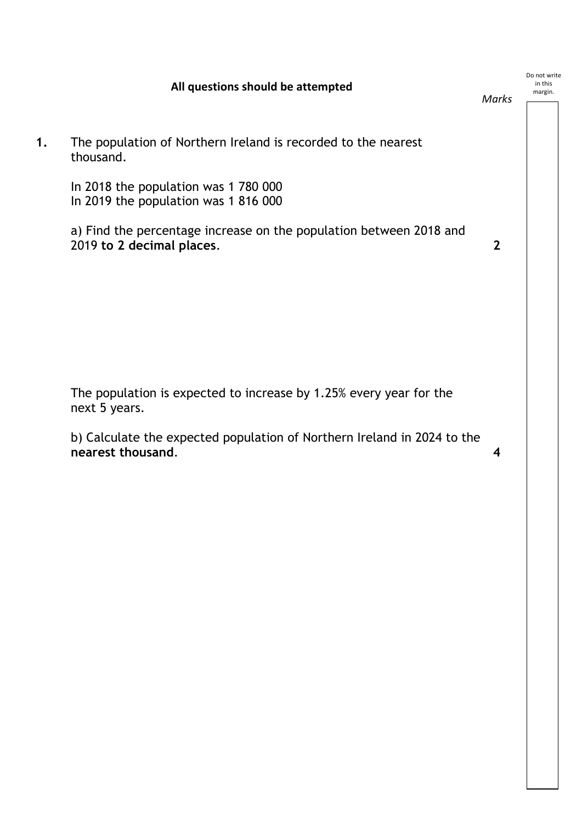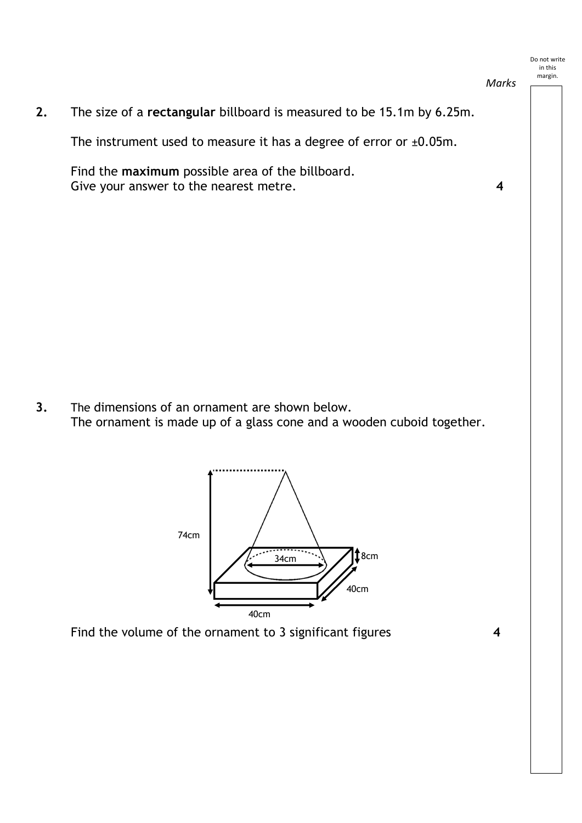*Marks*

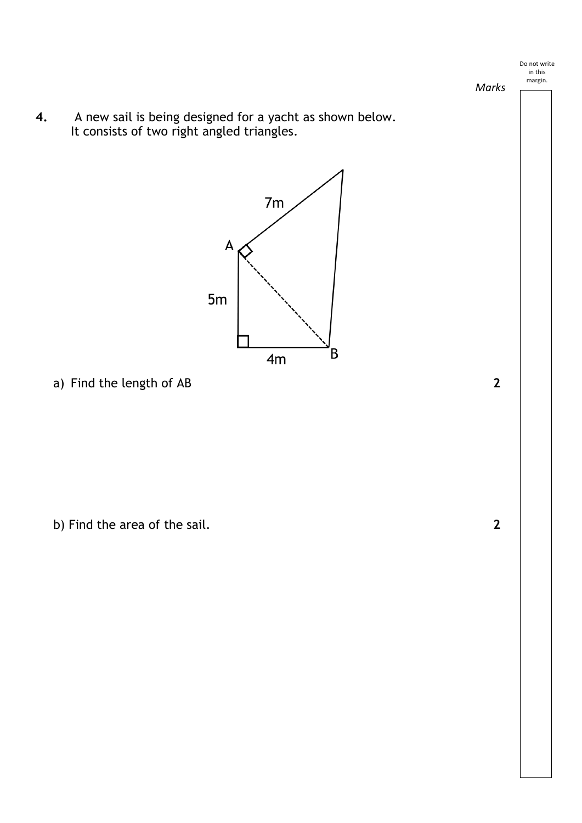*Marks*

**4.** A new sail is being designed for a yacht as shown below. It consists of two right angled triangles.



a) Find the length of AB **2**

b) Find the area of the sail. **2**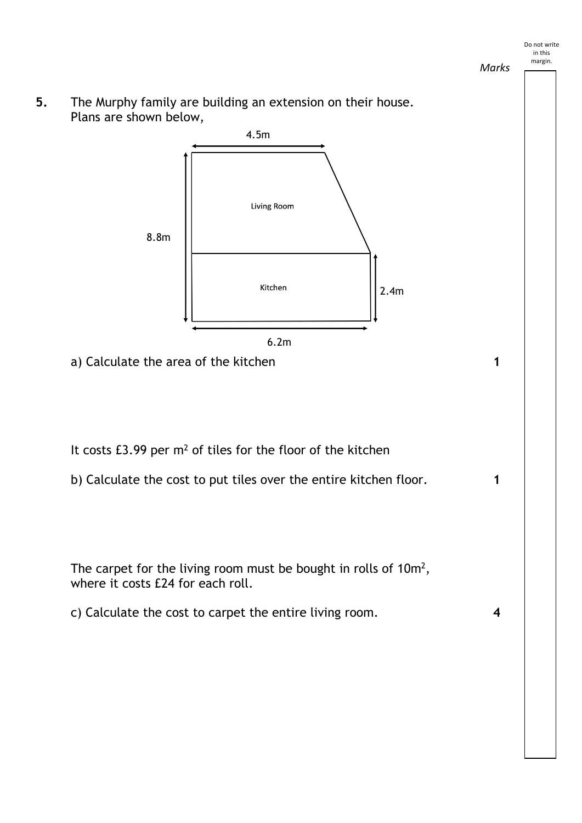

2.4m

- It costs  $£3.99$  per  $m<sup>2</sup>$  of tiles for the floor of the kitchen
- b) Calculate the cost to put tiles over the entire kitchen floor. **1**

a) Calculate the area of the kitchen **1** 

6.2m

Kitchen

The carpet for the living room must be bought in rolls of 10m<sup>2</sup>, where it costs £24 for each roll.

c) Calculate the cost to carpet the entire living room. **4**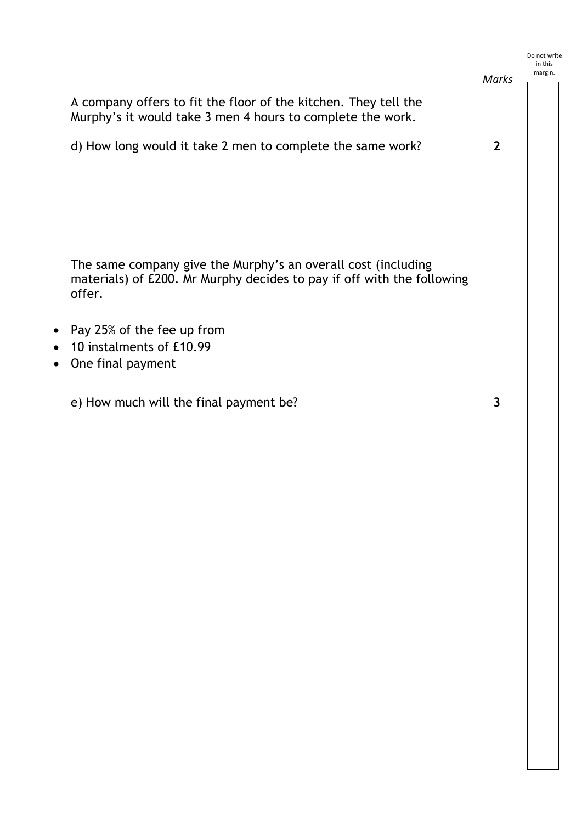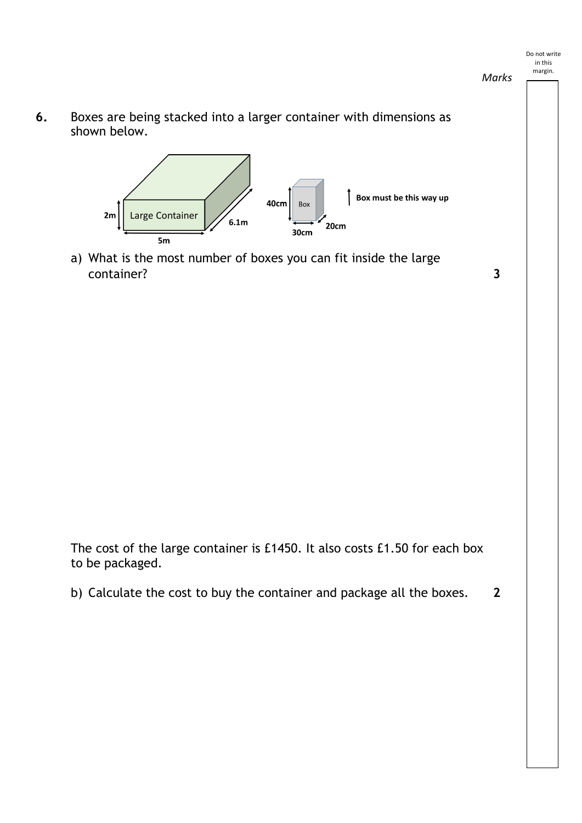*Marks*

**6.** Boxes are being stacked into a larger container with dimensions as shown below.



a) What is the most number of boxes you can fit inside the large container? **3**

The cost of the large container is £1450. It also costs £1.50 for each box to be packaged.

b) Calculate the cost to buy the container and package all the boxes. **2**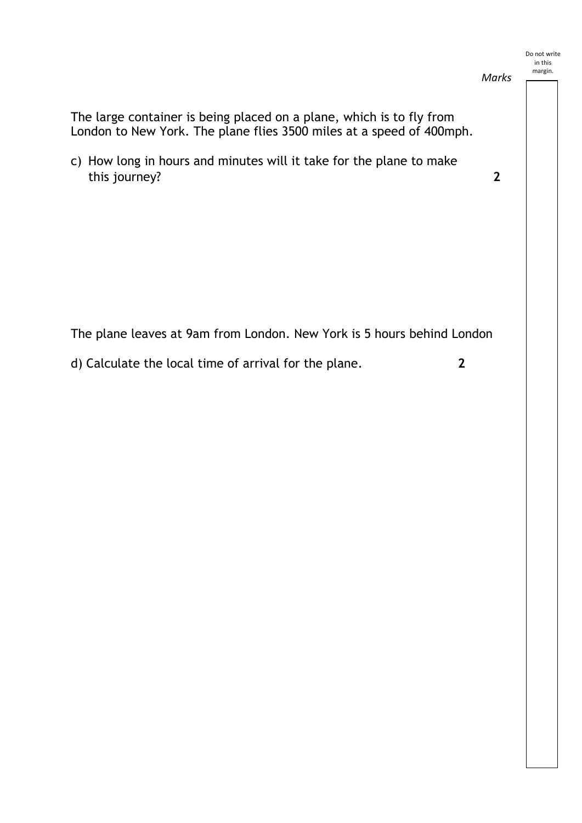The large container is being placed on a plane, which is to fly from London to New York. The plane flies 3500 miles at a speed of 400mph. c) How long in hours and minutes will it take for the plane to make this journey? **2** The plane leaves at 9am from London. New York is 5 hours behind London d) Calculate the local time of arrival for the plane. **2** Do not write in this margin. *Marks*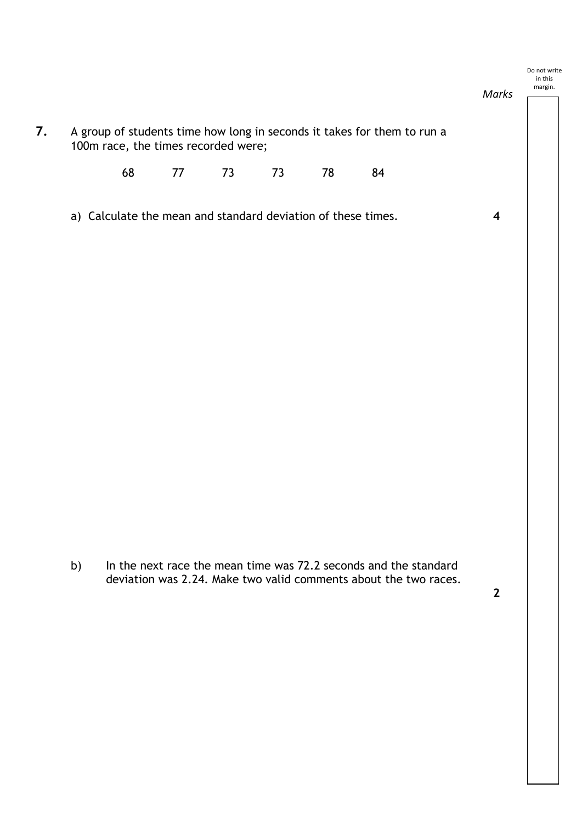### Do not write in this

**7.** A group of students time how long in seconds it takes for them to run a 100m race, the times recorded were; 68 77 73 73 78 84 a) Calculate the mean and standard deviation of these times. **4** margin. *Marks*

b) In the next race the mean time was 72.2 seconds and the standard deviation was 2.24. Make two valid comments about the two races.

**2**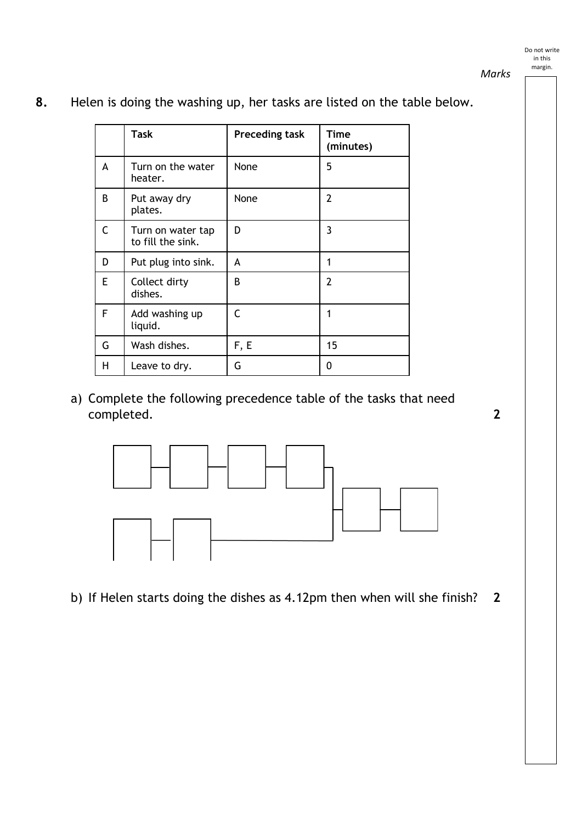*Marks*

|              | <b>Task</b>                            | <b>Preceding task</b> | <b>Time</b><br>(minutes) |
|--------------|----------------------------------------|-----------------------|--------------------------|
| A            | Turn on the water<br>heater.           | None                  | 5                        |
| B            | Put away dry<br>plates.                | None                  | $\overline{2}$           |
| $\mathsf{C}$ | Turn on water tap<br>to fill the sink. | D                     | 3                        |
| D            | Put plug into sink.                    | A                     | 1                        |
| E            | Collect dirty<br>dishes.               | B                     | $\overline{2}$           |
| F            | Add washing up<br>liquid.              | $\epsilon$            | 1                        |
| G            | Wash dishes.                           | F, E                  | 15                       |
| H            | Leave to dry.                          | G                     | 0                        |

**8.** Helen is doing the washing up, her tasks are listed on the table below.

a) Complete the following precedence table of the tasks that need completed. **2**



b) If Helen starts doing the dishes as 4.12pm then when will she finish? **2**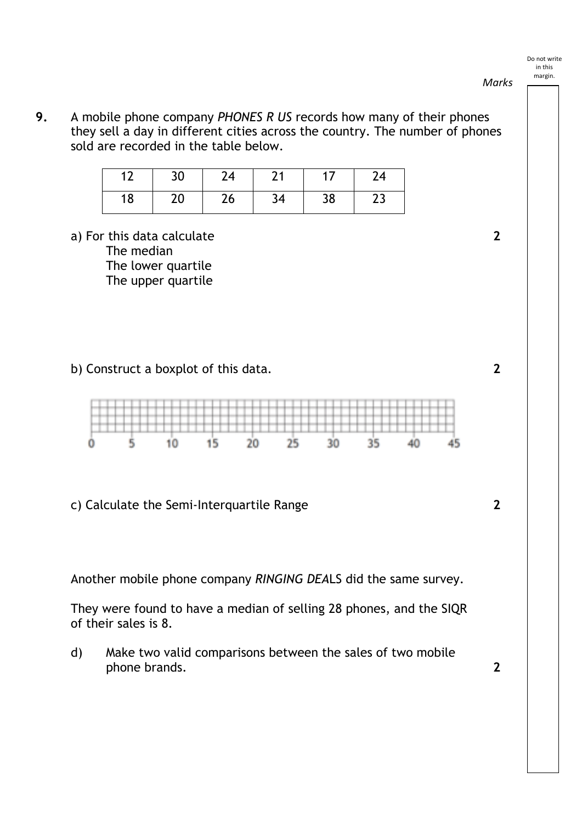**9.** A mobile phone company *PHONES R US* records how many of their phones they sell a day in different cities across the country. The number of phones sold are recorded in the table below.

| ∡ົ<br>. . | 30 | 24 | ำส |    | 24       |
|-----------|----|----|----|----|----------|
| 18        | 20 | 26 | 34 | 38 | າາ<br>رے |

a) For this data calculate **2** The median The lower quartile The upper quartile

b) Construct a boxplot of this data. **2**



c) Calculate the Semi-Interquartile Range **2**

Another mobile phone company *RINGING DEA*LS did the same survey.

They were found to have a median of selling 28 phones, and the SIQR of their sales is 8.

d) Make two valid comparisons between the sales of two mobile phone brands. **2**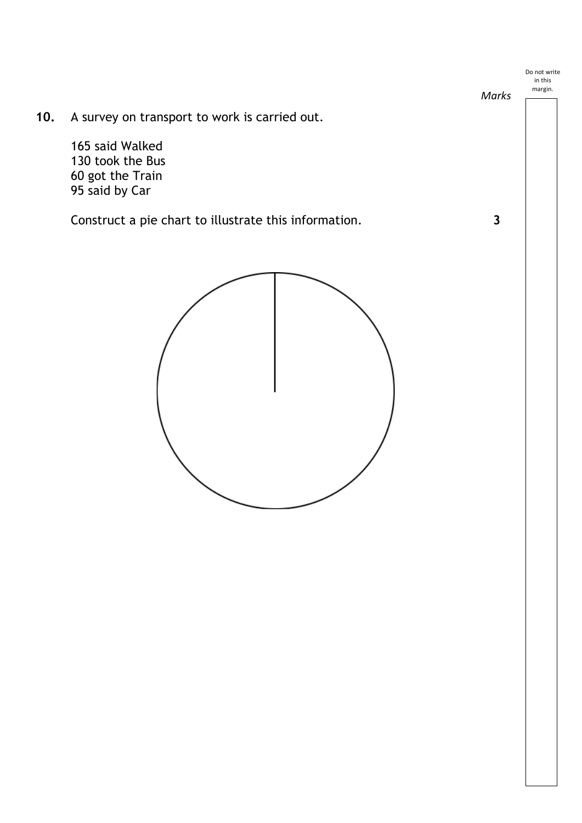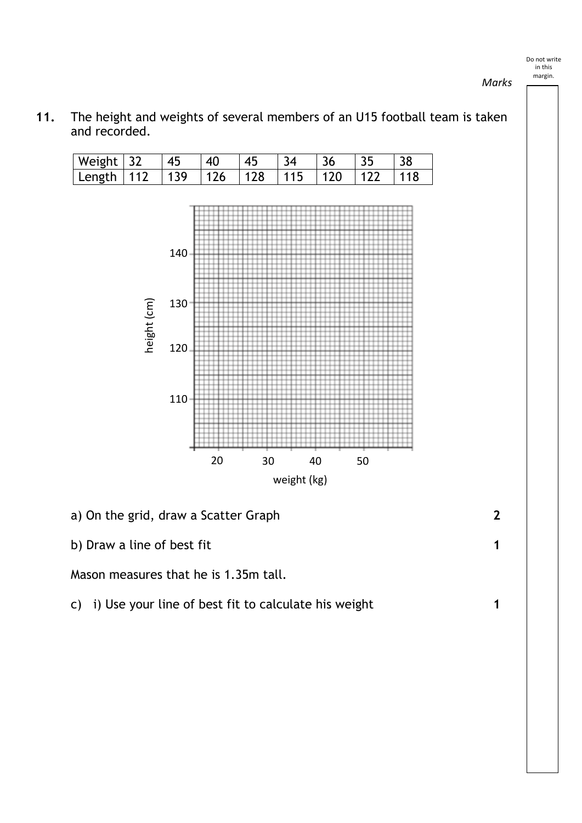Weight 32 45 40 45 34 36 35 38 Length 112 139 126 128 115 120 122 118 140 height (cm) height (cm) 130 120 110 20 30 40 50 weight (kg) a) On the grid, draw a Scatter Graph **2**

**11.** The height and weights of several members of an U15 football team is taken and recorded.

b) Draw a line of best fit **1** 

Mason measures that he is 1.35m tall.

c) i) Use your line of best fit to calculate his weight **1**